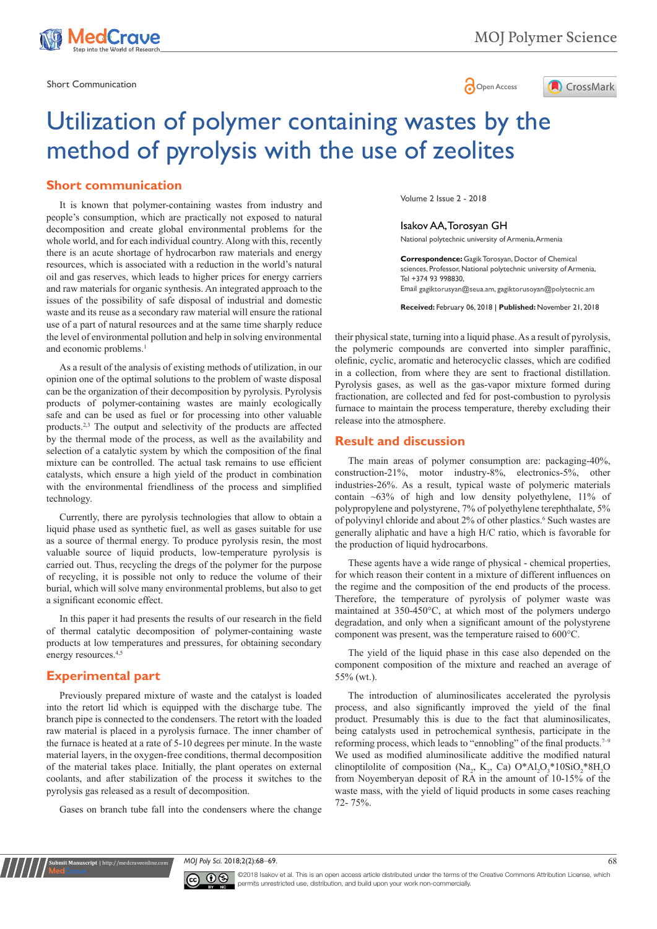



# Utilization of polymer containing wastes by the method of pyrolysis with the use of zeolites

# **Short communication**

the level of environmental pollution and help in solving environmental and economic problems.<sup>1</sup> It is known that polymer-containing wastes from industry and people's consumption, which are practically not exposed to natural decomposition and create global environmental problems for the whole world, and for each individual country. Along with this, recently there is an acute shortage of hydrocarbon raw materials and energy resources, which is associated with a reduction in the world's natural oil and gas reserves, which leads to higher prices for energy carriers and raw materials for organic synthesis. An integrated approach to the issues of the possibility of safe disposal of industrial and domestic waste and its reuse as a secondary raw material will ensure the rational use of a part of natural resources and at the same time sharply reduce

As a result of the analysis of existing methods of utilization, in our opinion one of the optimal solutions to the problem of waste disposal can be the organization of their decomposition by pyrolysis. Pyrolysis products of polymer-containing wastes are mainly ecologically safe and can be used as fuel or for processing into other valuable products.2,3 The output and selectivity of the products are affected by the thermal mode of the process, as well as the availability and selection of a catalytic system by which the composition of the final mixture can be controlled. The actual task remains to use efficient catalysts, which ensure a high yield of the product in combination with the environmental friendliness of the process and simplified technology.

Currently, there are pyrolysis technologies that allow to obtain a liquid phase used as synthetic fuel, as well as gases suitable for use as a source of thermal energy. To produce pyrolysis resin, the most valuable source of liquid products, low-temperature pyrolysis is carried out. Thus, recycling the dregs of the polymer for the purpose of recycling, it is possible not only to reduce the volume of their burial, which will solve many environmental problems, but also to get a significant economic effect.

In this paper it had presents the results of our research in the field of thermal catalytic decomposition of polymer-containing waste products at low temperatures and pressures, for obtaining secondary energy resources.<sup>4,5</sup>

# **Experimental part**

**nit Manuscript** | http://medcraveonline.

Previously prepared mixture of waste and the catalyst is loaded into the retort lid which is equipped with the discharge tube. The branch pipe is connected to the condensers. The retort with the loaded raw material is placed in a pyrolysis furnace. The inner chamber of the furnace is heated at a rate of 5-10 degrees per minute. In the waste material layers, in the oxygen-free conditions, thermal decomposition of the material takes place. Initially, the plant operates on external coolants, and after stabilization of the process it switches to the pyrolysis gas released as a result of decomposition.

Gases on branch tube fall into the condensers where the change

Volume 2 Issue 2 - 2018

#### Isakov AA, Torosyan GH National polytechnic university of Armenia, Armenia

**Correspondence:** Gagik Torosyan, Doctor of Chemical sciences, Professor, National polytechnic university of Armenia, Tel +374 93 998830, Email gagiktorusyan@seua.am, gagiktorusoyan@polytecnic.am

**Received:** February 06, 2018 | **Published:** November 21, 2018

their physical state, turning into a liquid phase. As a result of pyrolysis, the polymeric compounds are converted into simpler paraffinic, olefinic, cyclic, aromatic and heterocyclic classes, which are codified in a collection, from where they are sent to fractional distillation. Pyrolysis gases, as well as the gas-vapor mixture formed during fractionation, are collected and fed for post-combustion to pyrolysis furnace to maintain the process temperature, thereby excluding their release into the atmosphere.

# **Result and discussion**

The main areas of polymer consumption are: packaging-40%, construction-21%, motor industry-8%, electronics-5%, other industries-26%. As a result, typical waste of polymeric materials contain  $~63\%$  of high and low density polyethylene, 11% of polypropylene and polystyrene, 7% of polyethylene terephthalate, 5% of polyvinyl chloride and about 2% of other plastics.<sup>6</sup> Such wastes are generally aliphatic and have a high H/C ratio, which is favorable for the production of liquid hydrocarbons.

These agents have a wide range of physical - chemical properties, for which reason their content in a mixture of different influences on the regime and the composition of the end products of the process. Therefore, the temperature of pyrolysis of polymer waste was maintained at 350-450°C, at which most of the polymers undergo degradation, and only when a significant amount of the polystyrene component was present, was the temperature raised to 600°C.

The yield of the liquid phase in this case also depended on the component composition of the mixture and reached an average of 55% (wt.).

The introduction of aluminosilicates accelerated the pyrolysis process, and also significantly improved the yield of the final product. Presumably this is due to the fact that aluminosilicates, being catalysts used in petrochemical synthesis, participate in the reforming process, which leads to "ennobling" of the final products.<sup>7-9</sup> We used as modified aluminosilicate additive the modified natural clinoptilolite of composition (Na<sub>2</sub>, K<sub>2</sub>, Ca)  $O^*Al_2O_3^*10SiO_2^*8H_2O$ from Noyemberyan deposit of RA in the amount of 10-15% of the waste mass, with the yield of liquid products in some cases reaching 72- 75%.

*MOJ Poly Sci.* 2018;2(2):68‒69. 68



©2018 Isakov et al. This is an open access article distributed under the terms of the [Creative Commons Attribution License,](https://creativecommons.org/licenses/by-nc/4.0/) which permits unrestricted use, distribution, and build upon your work non-commercially.